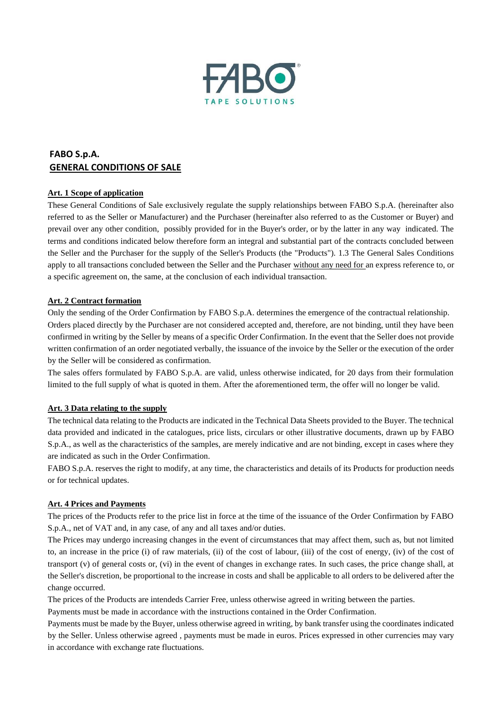

# **FABO S.p.A. GENERAL CONDITIONS OF SALE**

# **Art. 1 Scope of application**

These General Conditions of Sale exclusively regulate the supply relationships between FABO S.p.A. (hereinafter also referred to as the Seller or Manufacturer) and the Purchaser (hereinafter also referred to as the Customer or Buyer) and prevail over any other condition, possibly provided for in the Buyer's order, or by the latter in any way indicated. The terms and conditions indicated below therefore form an integral and substantial part of the contracts concluded between the Seller and the Purchaser for the supply of the Seller's Products (the "Products"). 1.3 The General Sales Conditions apply to all transactions concluded between the Seller and the Purchaser without any need for an express reference to, or a specific agreement on, the same, at the conclusion of each individual transaction.

## **Art. 2 Contract formation**

Only the sending of the Order Confirmation by FABO S.p.A. determines the emergence of the contractual relationship. Orders placed directly by the Purchaser are not considered accepted and, therefore, are not binding, until they have been confirmed in writing by the Seller by means of a specific Order Confirmation. In the event that the Seller does not provide written confirmation of an order negotiated verbally, the issuance of the invoice by the Seller or the execution of the order by the Seller will be considered as confirmation.

The sales offers formulated by FABO S.p.A. are valid, unless otherwise indicated, for 20 days from their formulation limited to the full supply of what is quoted in them. After the aforementioned term, the offer will no longer be valid.

#### **Art. 3 Data relating to the supply**

The technical data relating to the Products are indicated in the Technical Data Sheets provided to the Buyer. The technical data provided and indicated in the catalogues, price lists, circulars or other illustrative documents, drawn up by FABO S.p.A., as well as the characteristics of the samples, are merely indicative and are not binding, except in cases where they are indicated as such in the Order Confirmation.

FABO S.p.A. reserves the right to modify, at any time, the characteristics and details of its Products for production needs or for technical updates.

#### **Art. 4 Prices and Payments**

The prices of the Products refer to the price list in force at the time of the issuance of the Order Confirmation by FABO S.p.A., net of VAT and, in any case, of any and all taxes and/or duties.

The Prices may undergo increasing changes in the event of circumstances that may affect them, such as, but not limited to, an increase in the price (i) of raw materials, (ii) of the cost of labour, (iii) of the cost of energy, (iv) of the cost of transport  $(v)$  of general costs or,  $(vi)$  in the event of changes in exchange rates. In such cases, the price change shall, at the Seller's discretion, be proportional to the increase in costs and shall be applicable to all orders to be delivered after the change occurred.

The prices of the Products are intendeds Carrier Free, unless otherwise agreed in writing between the parties.

Payments must be made in accordance with the instructions contained in the Order Confirmation.

Payments must be made by the Buyer, unless otherwise agreed in writing, by bank transfer using the coordinates indicated by the Seller. Unless otherwise agreed , payments must be made in euros. Prices expressed in other currencies may vary in accordance with exchange rate fluctuations.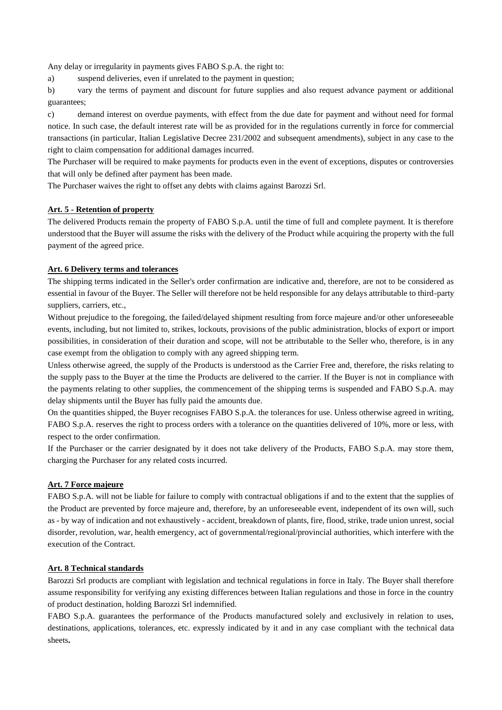Any delay or irregularity in payments gives FABO S.p.A. the right to:

a) suspend deliveries, even if unrelated to the payment in question;

b) vary the terms of payment and discount for future supplies and also request advance payment or additional guarantees;

c) demand interest on overdue payments, with effect from the due date for payment and without need for formal notice. In such case, the default interest rate will be as provided for in the regulations currently in force for commercial transactions (in particular, Italian Legislative Decree 231/2002 and subsequent amendments), subject in any case to the right to claim compensation for additional damages incurred.

The Purchaser will be required to make payments for products even in the event of exceptions, disputes or controversies that will only be defined after payment has been made.

The Purchaser waives the right to offset any debts with claims against Barozzi Srl.

# **Art. 5 - Retention of property**

The delivered Products remain the property of FABO S.p.A. until the time of full and complete payment. It is therefore understood that the Buyer will assume the risks with the delivery of the Product while acquiring the property with the full payment of the agreed price.

## **Art. 6 Delivery terms and tolerances**

The shipping terms indicated in the Seller's order confirmation are indicative and, therefore, are not to be considered as essential in favour of the Buyer. The Seller will therefore not be held responsible for any delays attributable to third-party suppliers, carriers, etc.,

Without prejudice to the foregoing, the failed/delayed shipment resulting from force majeure and/or other unforeseeable events, including, but not limited to, strikes, lockouts, provisions of the public administration, blocks of export or import possibilities, in consideration of their duration and scope, will not be attributable to the Seller who, therefore, is in any case exempt from the obligation to comply with any agreed shipping term.

Unless otherwise agreed, the supply of the Products is understood as the Carrier Free and, therefore, the risks relating to the supply pass to the Buyer at the time the Products are delivered to the carrier. If the Buyer is not in compliance with the payments relating to other supplies, the commencement of the shipping terms is suspended and FABO S.p.A. may delay shipments until the Buyer has fully paid the amounts due.

On the quantities shipped, the Buyer recognises FABO S.p.A. the tolerances for use. Unless otherwise agreed in writing, FABO S.p.A. reserves the right to process orders with a tolerance on the quantities delivered of 10%, more or less, with respect to the order confirmation.

If the Purchaser or the carrier designated by it does not take delivery of the Products, FABO S.p.A. may store them, charging the Purchaser for any related costs incurred.

# **Art. 7 Force majeure**

FABO S.p.A. will not be liable for failure to comply with contractual obligations if and to the extent that the supplies of the Product are prevented by force majeure and, therefore, by an unforeseeable event, independent of its own will, such as - by way of indication and not exhaustively - accident, breakdown of plants, fire, flood, strike, trade union unrest, social disorder, revolution, war, health emergency, act of governmental/regional/provincial authorities, which interfere with the execution of the Contract.

# **Art. 8 Technical standards**

Barozzi Srl products are compliant with legislation and technical regulations in force in Italy. The Buyer shall therefore assume responsibility for verifying any existing differences between Italian regulations and those in force in the country of product destination, holding Barozzi Srl indemnified.

FABO S.p.A. guarantees the performance of the Products manufactured solely and exclusively in relation to uses, destinations, applications, tolerances, etc. expressly indicated by it and in any case compliant with the technical data sheets**.**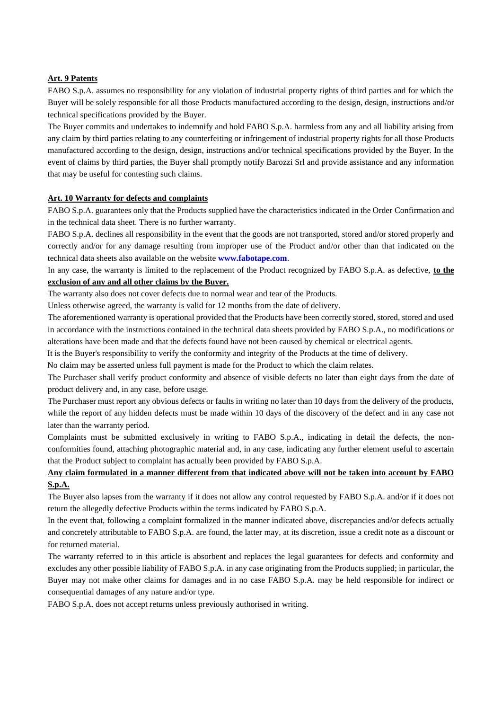## **Art. 9 Patents**

FABO S.p.A. assumes no responsibility for any violation of industrial property rights of third parties and for which the Buyer will be solely responsible for all those Products manufactured according to the design, design, instructions and/or technical specifications provided by the Buyer.

The Buyer commits and undertakes to indemnify and hold FABO S.p.A. harmless from any and all liability arising from any claim by third parties relating to any counterfeiting or infringement of industrial property rights for all those Products manufactured according to the design, design, instructions and/or technical specifications provided by the Buyer. In the event of claims by third parties, the Buyer shall promptly notify Barozzi Srl and provide assistance and any information that may be useful for contesting such claims.

#### **Art. 10 Warranty for defects and complaints**

FABO S.p.A. guarantees only that the Products supplied have the characteristics indicated in the Order Confirmation and in the technical data sheet. There is no further warranty.

FABO S.p.A. declines all responsibility in the event that the goods are not transported, stored and/or stored properly and correctly and/or for any damage resulting from improper use of the Product and/or other than that indicated on the technical data sheets also available on the website **www.fabotape.com**.

In any case, the warranty is limited to the replacement of the Product recognized by FABO S.p.A. as defective, **to the exclusion of any and all other claims by the Buyer.** 

The warranty also does not cover defects due to normal wear and tear of the Products.

Unless otherwise agreed, the warranty is valid for 12 months from the date of delivery.

The aforementioned warranty is operational provided that the Products have been correctly stored, stored, stored and used in accordance with the instructions contained in the technical data sheets provided by FABO S.p.A., no modifications or alterations have been made and that the defects found have not been caused by chemical or electrical agents.

It is the Buyer's responsibility to verify the conformity and integrity of the Products at the time of delivery.

No claim may be asserted unless full payment is made for the Product to which the claim relates.

The Purchaser shall verify product conformity and absence of visible defects no later than eight days from the date of product delivery and, in any case, before usage.

The Purchaser must report any obvious defects or faults in writing no later than 10 days from the delivery of the products, while the report of any hidden defects must be made within 10 days of the discovery of the defect and in any case not later than the warranty period.

Complaints must be submitted exclusively in writing to FABO S.p.A., indicating in detail the defects, the nonconformities found, attaching photographic material and, in any case, indicating any further element useful to ascertain that the Product subject to complaint has actually been provided by FABO S.p.A.

# **Any claim formulated in a manner different from that indicated above will not be taken into account by FABO S.p.A.**

The Buyer also lapses from the warranty if it does not allow any control requested by FABO S.p.A. and/or if it does not return the allegedly defective Products within the terms indicated by FABO S.p.A.

In the event that, following a complaint formalized in the manner indicated above, discrepancies and/or defects actually and concretely attributable to FABO S.p.A. are found, the latter may, at its discretion, issue a credit note as a discount or for returned material.

The warranty referred to in this article is absorbent and replaces the legal guarantees for defects and conformity and excludes any other possible liability of FABO S.p.A. in any case originating from the Products supplied; in particular, the Buyer may not make other claims for damages and in no case FABO S.p.A. may be held responsible for indirect or consequential damages of any nature and/or type.

FABO S.p.A. does not accept returns unless previously authorised in writing.